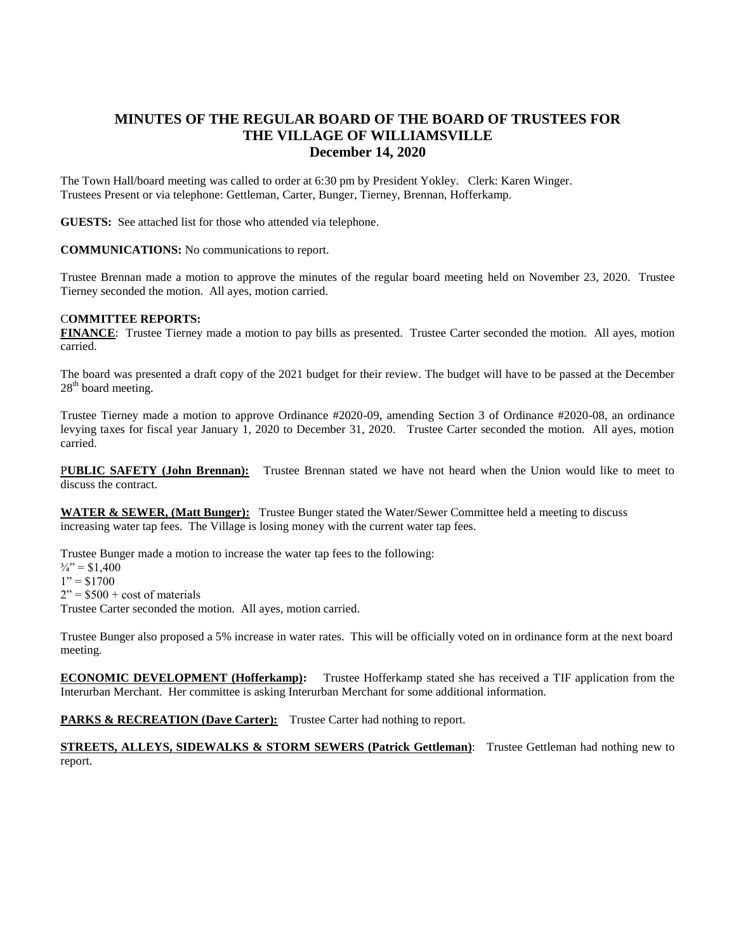## **MINUTES OF THE REGULAR BOARD OF THE BOARD OF TRUSTEES FOR THE VILLAGE OF WILLIAMSVILLE December 14, 2020**

The Town Hall/board meeting was called to order at 6:30 pm by President Yokley. Clerk: Karen Winger. Trustees Present or via telephone: Gettleman, Carter, Bunger, Tierney, Brennan, Hofferkamp.

**GUESTS:** See attached list for those who attended via telephone.

**COMMUNICATIONS:** No communications to report.

Trustee Brennan made a motion to approve the minutes of the regular board meeting held on November 23, 2020. Trustee Tierney seconded the motion. All ayes, motion carried.

## C**OMMITTEE REPORTS:**

**FINANCE**: Trustee Tierney made a motion to pay bills as presented. Trustee Carter seconded the motion. All ayes, motion carried.

The board was presented a draft copy of the 2021 budget for their review. The budget will have to be passed at the December  $28<sup>th</sup>$  board meeting.

Trustee Tierney made a motion to approve Ordinance #2020-09, amending Section 3 of Ordinance #2020-08, an ordinance levying taxes for fiscal year January 1, 2020 to December 31, 2020. Trustee Carter seconded the motion. All ayes, motion carried.

P**UBLIC SAFETY (John Brennan):** Trustee Brennan stated we have not heard when the Union would like to meet to discuss the contract.

**WATER & SEWER, (Matt Bunger):** Trustee Bunger stated the Water/Sewer Committee held a meeting to discuss increasing water tap fees. The Village is losing money with the current water tap fees.

Trustee Bunger made a motion to increase the water tap fees to the following:

 $\frac{3}{4}$ " = \$1,400

 $1" = $1700$ 

 $2" = $500 + \cos \theta$  materials

Trustee Carter seconded the motion. All ayes, motion carried.

Trustee Bunger also proposed a 5% increase in water rates. This will be officially voted on in ordinance form at the next board meeting.

**ECONOMIC DEVELOPMENT (Hofferkamp):** Trustee Hofferkamp stated she has received a TIF application from the Interurban Merchant. Her committee is asking Interurban Merchant for some additional information.

**PARKS & RECREATION (Dave Carter):** Trustee Carter had nothing to report.

**STREETS, ALLEYS, SIDEWALKS & STORM SEWERS (Patrick Gettleman):** Trustee Gettleman had nothing new to report.